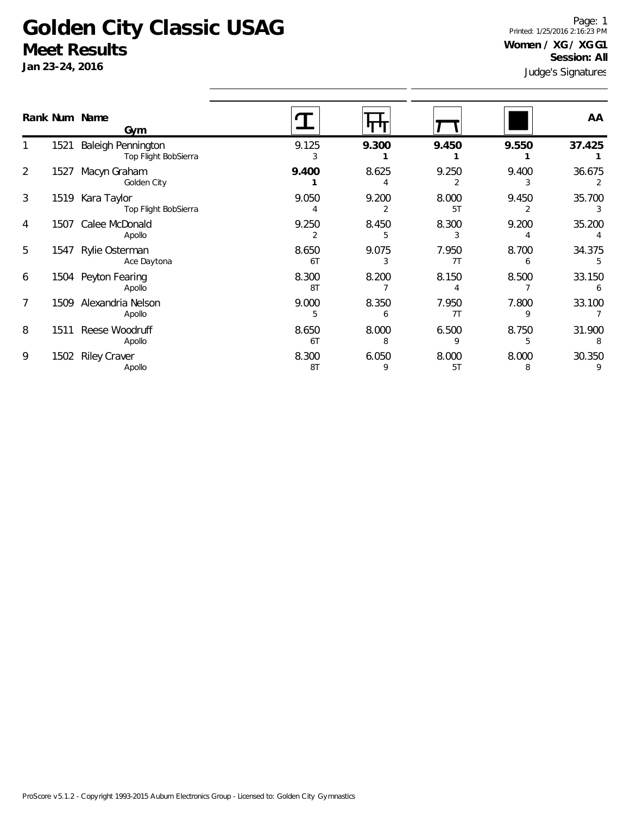**Jan 23-24, 2016**

Judge's Signatures Page: 1 Printed: 1/25/2016 2:16:23 PM **Women / XG / XG G1 Session: All**

|   |      | Rank Num Name<br>Gym                       |             |            |             |            | AA     |
|---|------|--------------------------------------------|-------------|------------|-------------|------------|--------|
|   | 1521 | Baleigh Pennington<br>Top Flight BobSierra | 9.125<br>3  | 9.300      | 9.450       | 9.550      | 37.425 |
| 2 | 1527 | Macyn Graham<br>Golden City                | 9.400       | 8.625      | 9.250       | 9.400      | 36.675 |
| 3 | 1519 | Kara Taylor<br>Top Flight BobSierra        | 9.050<br>4  | 9.200      | 8.000<br>5T | 9.450      | 35.700 |
| 4 | 1507 | Calee McDonald<br>Apollo                   | 9.250       | 8.450      | 8.300       | 9.200      | 35.200 |
| 5 | 1547 | Rylie Osterman<br>Ace Daytona              | 8.650<br>6T | 9.075<br>3 | 7.950<br>7T | 8.700      | 34.375 |
| 6 | 1504 | Peyton Fearing<br>Apollo                   | 8.300<br>8T | 8.200      | 8.150       | 8.500      | 33.150 |
| 7 | 1509 | Alexandria Nelson<br>Apollo                | 9.000<br>5  | 8.350<br>6 | 7.950<br>7T | 7.800      | 33.100 |
| 8 | 1511 | Reese Woodruff<br>Apollo                   | 8.650<br>6T | 8.000<br>8 | 6.500<br>9  | 8.750<br>5 | 31.900 |
| 9 | 1502 | <b>Riley Craver</b><br>Apollo              | 8.300<br>8T | 6.050<br>9 | 8.000<br>5T | 8.000<br>8 | 30.350 |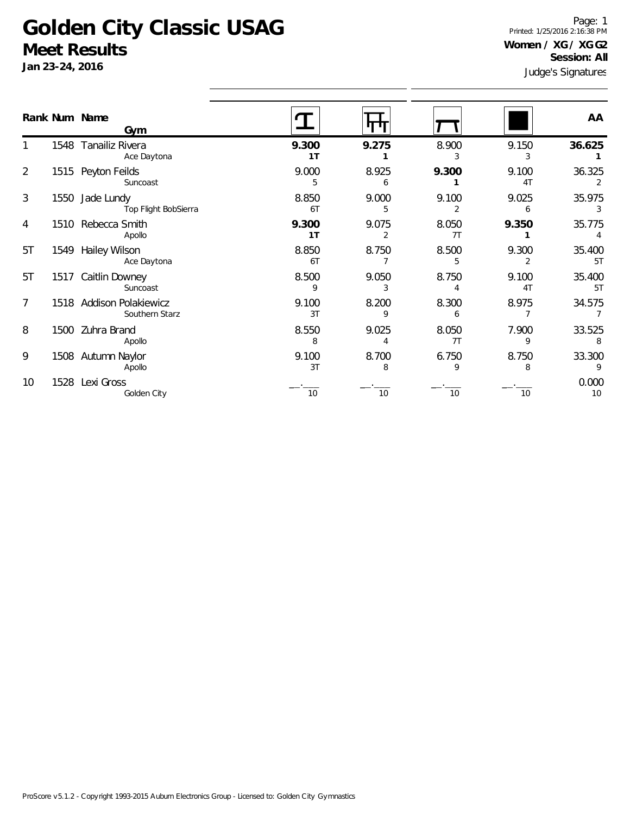Jan 23-24,

1

5T

5T

8

10

1528 Lexi Gross

Golden City

tures Page: 1 Printed: 1/25/2016 2:16:38 PM **Women / XG / XG G2 Session: All**

| Jan 23-24, 2016 |      |                                            |             |            | Judge's Signature |             |              |  |
|-----------------|------|--------------------------------------------|-------------|------------|-------------------|-------------|--------------|--|
|                 |      | Rank Num Name<br>Gym                       |             |            |                   |             | AA           |  |
|                 | 1548 | Tanailiz Rivera<br>Ace Daytona             | 9.300<br>1T | 9.275      | 8.900             | 9.150<br>3  | 36.625       |  |
| $\overline{2}$  |      | 1515 Peyton Feilds<br>Suncoast             | 9.000       | 8.925<br>6 | 9.300             | 9.100<br>4T | 36.325       |  |
| 3               | 1550 | Jade Lundy<br>Top Flight BobSierra         | 8.850<br>6T | 9.000      | 9.100             | 9.025<br>6  | 35.975<br>3  |  |
| 4               | 1510 | Rebecca Smith<br>Apollo                    | 9.300<br>1T | 9.075      | 8.050<br>7T       | 9.350       | 35.775       |  |
| 5T              | 1549 | Hailey Wilson<br>Ace Daytona               | 8.850<br>6T | 8.750      | 8.500             | 9.300       | 35.400<br>5T |  |
| 5T              |      | 1517 Caitlin Downey<br>Suncoast            | 8.500       | 9.050      | 8.750             | 9.100<br>4T | 35.400<br>5T |  |
| 7               |      | 1518 Addison Polakiewicz<br>Southern Starz | 9.100<br>3T | 8.200      | 8.300<br>6        | 8.975       | 34.575       |  |
| 8               |      | 1500 Zuhra Brand<br>Apollo                 | 8.550<br>8  | 9.025      | 8.050<br>7T       | 7.900<br>9  | 33.525<br>8  |  |
| 9               | 1508 | Autumn Naylor<br>Apollo                    | 9.100<br>3T | 8.700<br>8 | 6.750<br>9        | 8.750<br>8  | 33.300<br>9  |  |

\_\_.\_\_\_ \_\_.\_\_\_ \_\_.\_\_\_ \_\_.\_\_\_ 0.000 10 10 10 10 10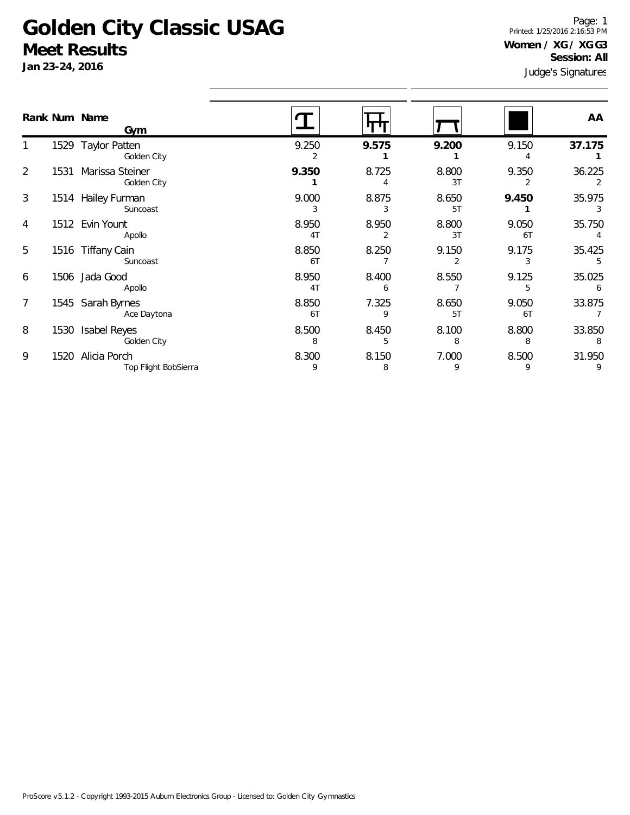**Jan 23-24, 2016**

Judge's Signatures Page: 1 Printed: 1/25/2016 2:16:53 PM **Women / XG / XG G3 Session: All**

|   |      | Rank Num Name<br>Gym                 |                         |            |             |             | AA          |
|---|------|--------------------------------------|-------------------------|------------|-------------|-------------|-------------|
|   |      | 1529 Taylor Patten<br>Golden City    | 9.250                   | 9.575      | 9.200       | 9.150       | 37.175      |
|   | 1531 | Marissa Steiner<br>Golden City       | 9.350                   | 8.725      | 8.800<br>3T | 9.350       | 36.225      |
| 3 |      | 1514 Hailey Furman<br>Suncoast       | 9.000                   | 8.875      | 8.650<br>5T | 9.450       | 35.975      |
| 4 |      | 1512 Evin Yount<br>Apollo            | 8.950<br>4 <sub>T</sub> | 8.950<br>2 | 8.800<br>3T | 9.050<br>6T | 35.750      |
| 5 |      | 1516 Tiffany Cain<br>Suncoast        | 8.850<br>6T             | 8.250      | 9.150       | 9.175       | 35.425      |
| 6 |      | 1506 Jada Good<br>Apollo             | 8.950<br>4 <sub>T</sub> | 8.400<br>6 | 8.550       | 9.125<br>5  | 35.025<br>6 |
|   |      | 1545 Sarah Byrnes<br>Ace Daytona     | 8.850<br>6T             | 7.325<br>9 | 8.650<br>5T | 9.050<br>6T | 33.875      |
| 8 | 1530 | <b>Isabel Reyes</b><br>Golden City   | 8.500<br>8              | 8.450<br>5 | 8.100<br>8  | 8.800<br>8  | 33.850      |
| 9 | 1520 | Alicia Porch<br>Top Flight BobSierra | 8.300<br>9              | 8.150<br>8 | 7.000<br>9  | 8.500<br>9  | 31.950<br>9 |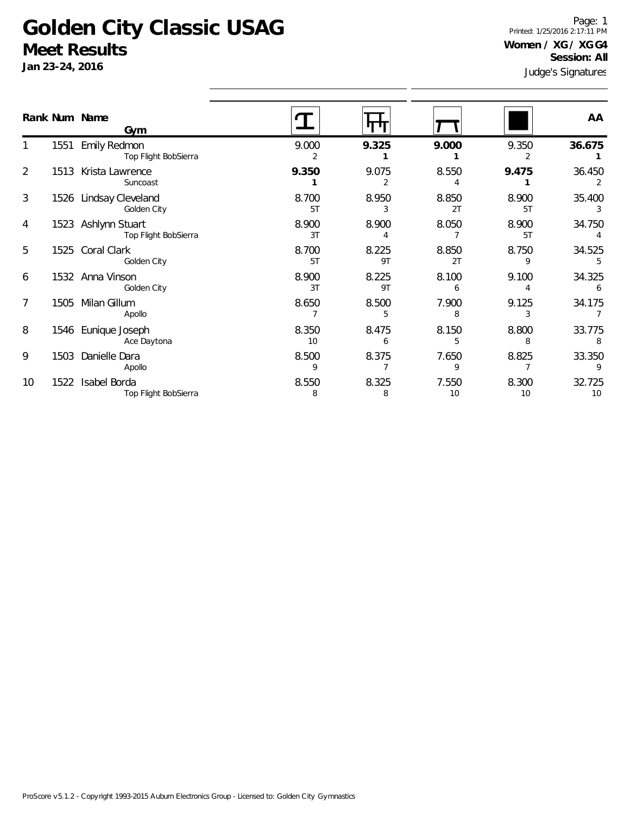**Jan 23-24, 2016**

1

2

3

4

5

6

7

8

9

10

Judge's Signatures Page: 1 Printed: 1/25/2016 2:17:11 PM **Women / XG / XG G4 Session: All**

|               |      |                                             |             |             | Judge's Signatures |             |              |  |
|---------------|------|---------------------------------------------|-------------|-------------|--------------------|-------------|--------------|--|
| Rank Num Name |      | Gym                                         |             |             |                    |             | AA           |  |
|               |      | 1551 Emily Redmon<br>Top Flight BobSierra   | 9.000<br>2  | 9.325       | 9.000              | 9.350<br>2  | 36.675       |  |
| 2             |      | 1513 Krista Lawrence<br>Suncoast            | 9.350       | 9.075<br>2  | 8.550<br>4         | 9.475       | 36.450<br>2  |  |
| 3             |      | 1526 Lindsay Cleveland<br>Golden City       | 8.700<br>5T | 8.950<br>3  | 8.850<br>2T        | 8.900<br>5T | 35.400<br>3  |  |
| 4             |      | 1523 Ashlynn Stuart<br>Top Flight BobSierra | 8.900<br>3T | 8.900<br>4  | 8.050              | 8.900<br>5T | 34.750<br>4  |  |
| 5             |      | 1525 Coral Clark<br>Golden City             | 8.700<br>5T | 8.225<br>9T | 8.850<br>2T        | 8.750<br>9  | 34.525<br>5  |  |
| 6             |      | 1532 Anna Vinson<br>Golden City             | 8.900<br>3T | 8.225<br>9T | 8.100<br>6         | 9.100<br>4  | 34.325<br>6  |  |
| 7             |      | 1505 Milan Gillum<br>Apollo                 | 8.650       | 8.500<br>5  | 7.900<br>8         | 9.125<br>3  | 34.175       |  |
| 8             |      | 1546 Eunique Joseph<br>Ace Daytona          | 8.350<br>10 | 8.475<br>6  | 8.150<br>5         | 8.800<br>8  | 33.775<br>8  |  |
| 9             |      | 1503 Danielle Dara<br>Apollo                | 8.500<br>9  | 8.375       | 7.650<br>9         | 8.825       | 33.350<br>9  |  |
| 10            | 1522 | Isabel Borda<br>Top Flight BobSierra        | 8.550<br>8  | 8.325<br>8  | 7.550<br>10        | 8.300<br>10 | 32.725<br>10 |  |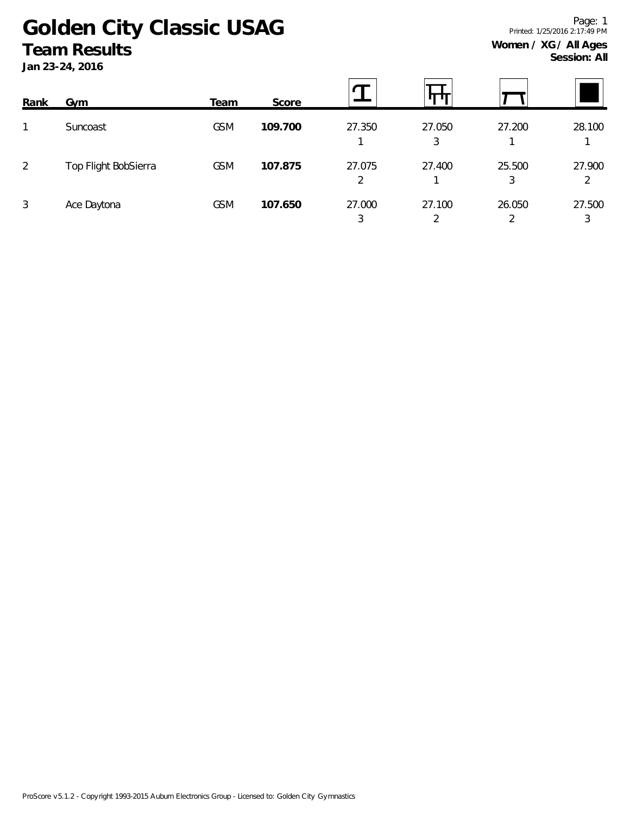**Jan 23-24, 2016**

| Rank           | Gym                  | Team       | Score   |             |             |             |             |
|----------------|----------------------|------------|---------|-------------|-------------|-------------|-------------|
|                | Suncoast             | <b>GSM</b> | 109.700 | 27.350      | 27.050<br>3 | 27.200      | 28.100      |
| $\overline{2}$ | Top Flight BobSierra | <b>GSM</b> | 107.875 | 27.075<br>2 | 27.400      | 25.500<br>3 | 27.900<br>2 |
| 3              | Ace Daytona          | <b>GSM</b> | 107.650 | 27.000<br>3 | 27.100      | 26.050      | 27.500<br>3 |